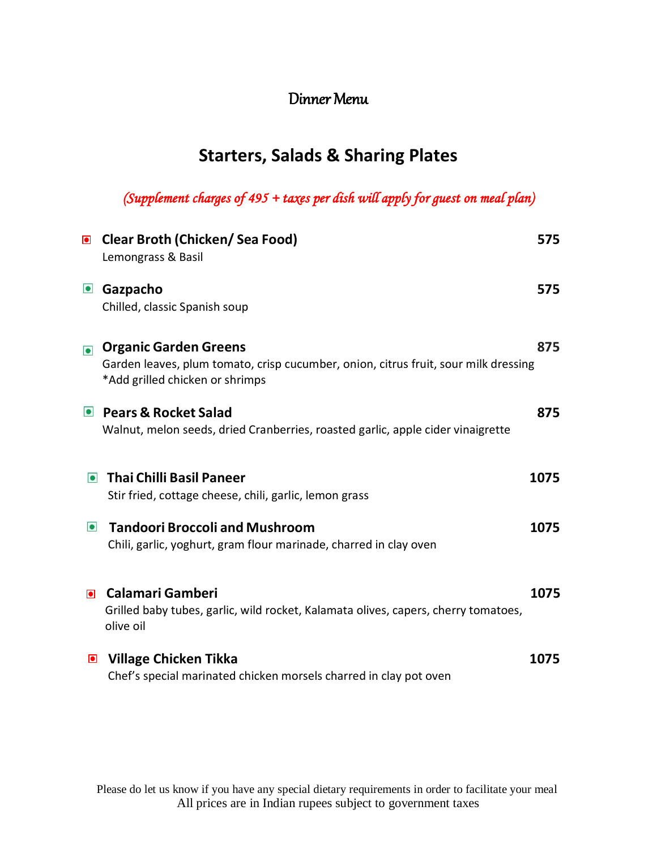#### Dinner Menu

## **Starters, Salads & Sharing Plates**

*(Supplement charges of 495 + taxes per dish will apply for guest on meal plan)* 

|           | ■ Clear Broth (Chicken/ Sea Food)<br>Lemongrass & Basil                                                                                                | 575  |
|-----------|--------------------------------------------------------------------------------------------------------------------------------------------------------|------|
| $\bullet$ | Gazpacho<br>Chilled, classic Spanish soup                                                                                                              | 575  |
| $\bullet$ | <b>Organic Garden Greens</b><br>Garden leaves, plum tomato, crisp cucumber, onion, citrus fruit, sour milk dressing<br>*Add grilled chicken or shrimps | 875  |
|           | • Pears & Rocket Salad<br>Walnut, melon seeds, dried Cranberries, roasted garlic, apple cider vinaigrette                                              | 875  |
| $\bullet$ | <b>Thai Chilli Basil Paneer</b><br>Stir fried, cottage cheese, chili, garlic, lemon grass                                                              | 1075 |
| $\bullet$ | <b>Tandoori Broccoli and Mushroom</b><br>Chili, garlic, yoghurt, gram flour marinade, charred in clay oven                                             | 1075 |
| $\bullet$ | <b>Calamari Gamberi</b><br>Grilled baby tubes, garlic, wild rocket, Kalamata olives, capers, cherry tomatoes,<br>olive oil                             | 1075 |
| $\bullet$ | <b>Village Chicken Tikka</b><br>Chef's special marinated chicken morsels charred in clay pot oven                                                      | 1075 |

Please do let us know if you have any special dietary requirements in order to facilitate your meal All prices are in Indian rupees subject to government taxes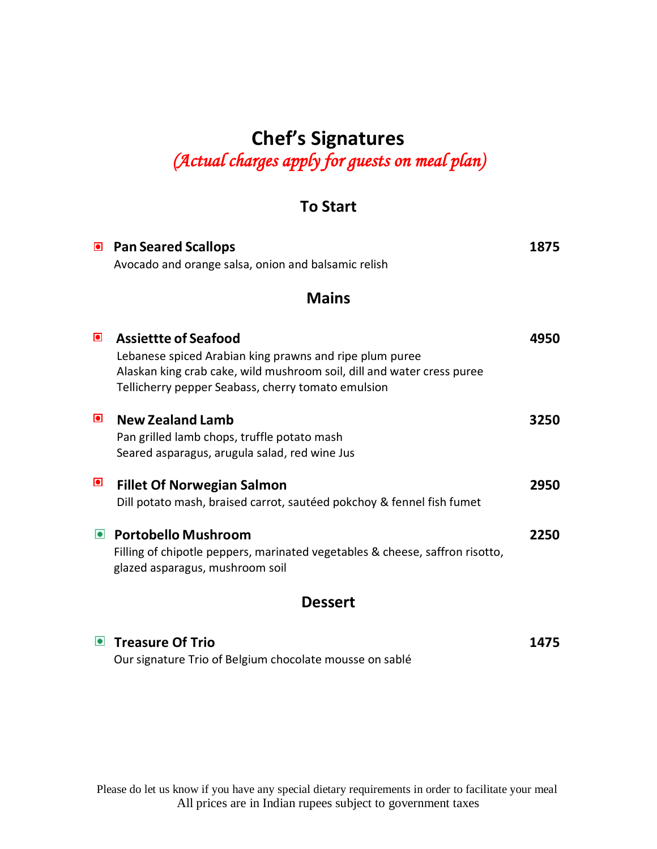# **Chef's Signatures** *(Actual charges apply for guests on meal plan)*

#### **To Start**

|                | <b>E</b> Pan Seared Scallops<br>Avocado and orange salsa, onion and balsamic relish                                                                                                                                    | 1875 |
|----------------|------------------------------------------------------------------------------------------------------------------------------------------------------------------------------------------------------------------------|------|
|                | <b>Mains</b>                                                                                                                                                                                                           |      |
| $\bullet$      | <b>Assiettte of Seafood</b><br>Lebanese spiced Arabian king prawns and ripe plum puree<br>Alaskan king crab cake, wild mushroom soil, dill and water cress puree<br>Tellicherry pepper Seabass, cherry tomato emulsion | 4950 |
| $\blacksquare$ | <b>New Zealand Lamb</b><br>Pan grilled lamb chops, truffle potato mash<br>Seared asparagus, arugula salad, red wine Jus                                                                                                | 3250 |
| $\bullet$      | <b>Fillet Of Norwegian Salmon</b><br>Dill potato mash, braised carrot, sautéed pokchoy & fennel fish fumet                                                                                                             | 2950 |
|                | • Portobello Mushroom<br>Filling of chipotle peppers, marinated vegetables & cheese, saffron risotto,<br>glazed asparagus, mushroom soil                                                                               | 2250 |
|                | <b>Dessert</b>                                                                                                                                                                                                         |      |
|                | ■ Treasure Of Trio                                                                                                                                                                                                     | 1475 |

Our signature Trio of Belgium chocolate mousse on sablé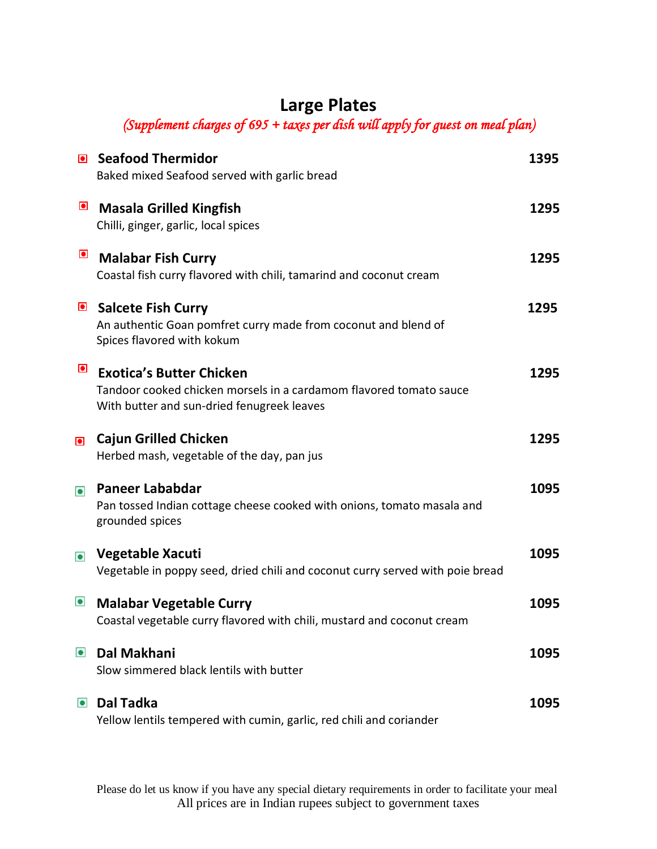# **Large Plates**

*(Supplement charges of 695 + taxes per dish will apply for guest on meal plan)* 

| $\bullet$ | <b>Seafood Thermidor</b>                                                                                         | 1395 |
|-----------|------------------------------------------------------------------------------------------------------------------|------|
|           | Baked mixed Seafood served with garlic bread                                                                     |      |
| $\bullet$ | <b>Masala Grilled Kingfish</b>                                                                                   | 1295 |
|           | Chilli, ginger, garlic, local spices                                                                             |      |
| $\bullet$ | <b>Malabar Fish Curry</b>                                                                                        | 1295 |
|           | Coastal fish curry flavored with chili, tamarind and coconut cream                                               |      |
|           | Salcete Fish Curry                                                                                               | 1295 |
|           | An authentic Goan pomfret curry made from coconut and blend of<br>Spices flavored with kokum                     |      |
| $\bullet$ |                                                                                                                  |      |
|           | <b>Exotica's Butter Chicken</b>                                                                                  | 1295 |
|           | Tandoor cooked chicken morsels in a cardamom flavored tomato sauce<br>With butter and sun-dried fenugreek leaves |      |
| $\bullet$ | <b>Cajun Grilled Chicken</b>                                                                                     | 1295 |
|           | Herbed mash, vegetable of the day, pan jus                                                                       |      |
| $\bullet$ | <b>Paneer Lababdar</b>                                                                                           | 1095 |
|           | Pan tossed Indian cottage cheese cooked with onions, tomato masala and<br>grounded spices                        |      |
|           | Vegetable Xacuti                                                                                                 | 1095 |
| $\bullet$ | Vegetable in poppy seed, dried chili and coconut curry served with poie bread                                    |      |
|           |                                                                                                                  |      |
| $\bullet$ | <b>Malabar Vegetable Curry</b>                                                                                   | 1095 |
|           | Coastal vegetable curry flavored with chili, mustard and coconut cream                                           |      |
| $\bullet$ | Dal Makhani                                                                                                      | 1095 |
|           | Slow simmered black lentils with butter                                                                          |      |
| $\bullet$ | <b>Dal Tadka</b>                                                                                                 | 1095 |
|           | Yellow lentils tempered with cumin, garlic, red chili and coriander                                              |      |
|           |                                                                                                                  |      |

Please do let us know if you have any special dietary requirements in order to facilitate your meal All prices are in Indian rupees subject to government taxes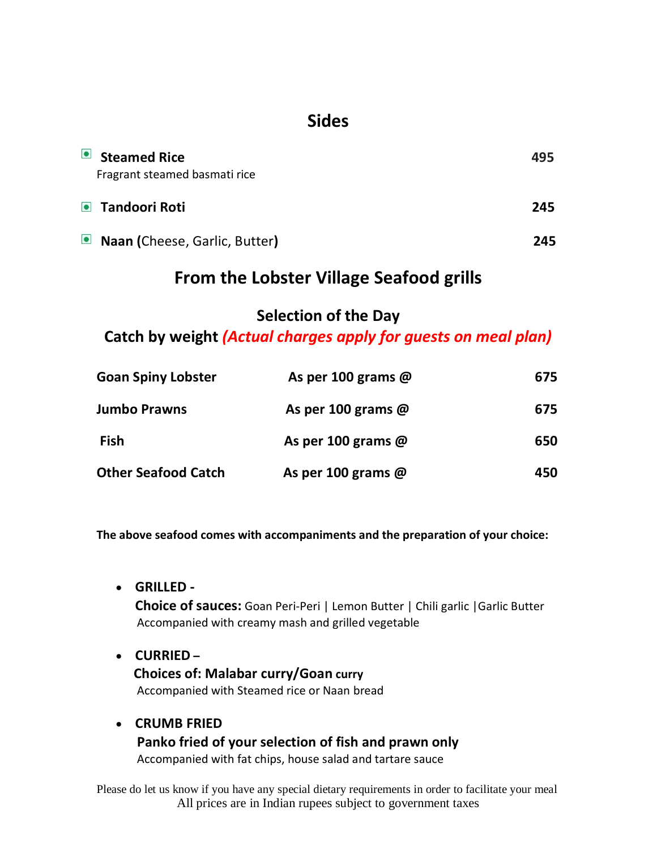## **Sides**

| $\bullet$ Steamed Rice<br>Fragrant steamed basmati rice | 495 |
|---------------------------------------------------------|-----|
| • Tandoori Roti                                         | 245 |
| ■ Naan (Cheese, Garlic, Butter)                         | 245 |

### **From the Lobster Village Seafood grills**

#### **Selection of the Day**

**Catch by weight** *(Actual charges apply for guests on meal plan)*

| <b>Goan Spiny Lobster</b>  | As per 100 grams $@$      | 675 |
|----------------------------|---------------------------|-----|
| <b>Jumbo Prawns</b>        | As per 100 grams $@$      | 675 |
| Fish                       | As per 100 grams $\omega$ | 650 |
| <b>Other Seafood Catch</b> | As per 100 grams $\omega$ | 450 |

**The above seafood comes with accompaniments and the preparation of your choice:**

**GRILLED -**

**Choice of sauces:** Goan Peri-Peri | Lemon Butter | Chili garlic |Garlic Butter Accompanied with creamy mash and grilled vegetable

- **CURRIED – Choices of: Malabar curry/Goan curry** Accompanied with Steamed rice or Naan bread
- **CRUMB FRIED Panko fried of your selection of fish and prawn only** Accompanied with fat chips, house salad and tartare sauce

Please do let us know if you have any special dietary requirements in order to facilitate your meal All prices are in Indian rupees subject to government taxes